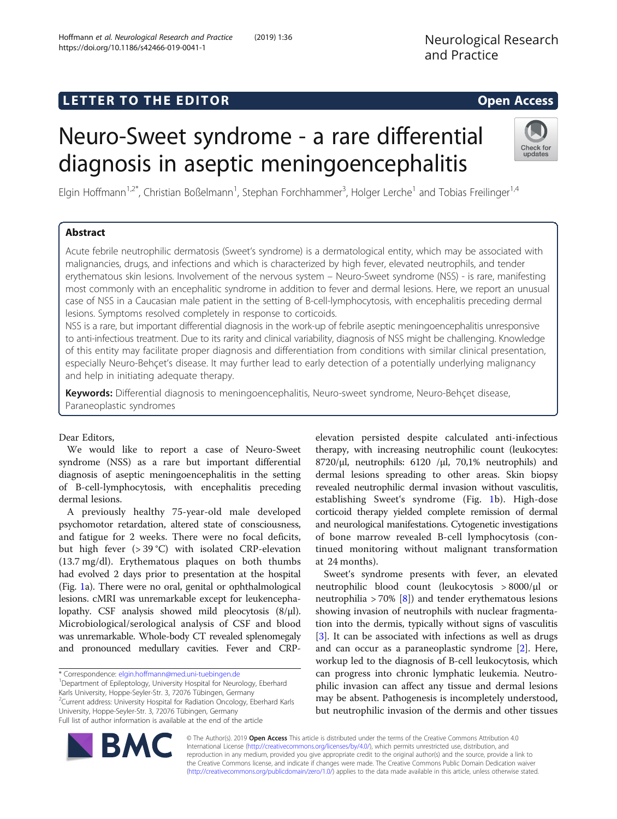# L E T T ER TOR OPEN ACCESS TO THE EXPLORATION OF THE EXPLORATION OF THE EXPLORATION OF THE EXPLORATION OF THE <br>The contract of the contract of the contract of the contract of the contract of the contract of the contract o

# Neuro-Sweet syndrome - a rare differential diagnosis in aseptic meningoencephalitis

Elgin Hoffmann<sup>1,2\*</sup>, Christian Boßelmann<sup>1</sup>, Stephan Forchhammer<sup>3</sup>, Holger Lerche<sup>1</sup> and Tobias Freilinger<sup>1,4</sup>

## **Abstract**

Acute febrile neutrophilic dermatosis (Sweet's syndrome) is a dermatological entity, which may be associated with malignancies, drugs, and infections and which is characterized by high fever, elevated neutrophils, and tender erythematous skin lesions. Involvement of the nervous system – Neuro-Sweet syndrome (NSS) - is rare, manifesting most commonly with an encephalitic syndrome in addition to fever and dermal lesions. Here, we report an unusual case of NSS in a Caucasian male patient in the setting of B-cell-lymphocytosis, with encephalitis preceding dermal lesions. Symptoms resolved completely in response to corticoids.

NSS is a rare, but important differential diagnosis in the work-up of febrile aseptic meningoencephalitis unresponsive to anti-infectious treatment. Due to its rarity and clinical variability, diagnosis of NSS might be challenging. Knowledge of this entity may facilitate proper diagnosis and differentiation from conditions with similar clinical presentation, especially Neuro-Behçet's disease. It may further lead to early detection of a potentially underlying malignancy and help in initiating adequate therapy.

Keywords: Differential diagnosis to meningoencephalitis, Neuro-sweet syndrome, Neuro-Behçet disease, Paraneoplastic syndromes

## Dear Editors,

We would like to report a case of Neuro-Sweet syndrome (NSS) as a rare but important differential diagnosis of aseptic meningoencephalitis in the setting of B-cell-lymphocytosis, with encephalitis preceding dermal lesions.

A previously healthy 75-year-old male developed psychomotor retardation, altered state of consciousness, and fatigue for 2 weeks. There were no focal deficits, but high fever (> 39 °C) with isolated CRP-elevation (13.7 mg/dl). Erythematous plaques on both thumbs had evolved 2 days prior to presentation at the hospital (Fig. [1](#page-1-0)a). There were no oral, genital or ophthalmological lesions. cMRI was unremarkable except for leukencephalopathy. CSF analysis showed mild pleocytosis (8/μl). Microbiological/serological analysis of CSF and blood was unremarkable. Whole-body CT revealed splenomegaly and pronounced medullary cavities. Fever and CRP-

\* Correspondence: [elgin.hoffmann@med.uni-tuebingen.de](mailto:elgin.hoffmann@med.uni-tuebingen.de) <sup>1</sup>

<sup>1</sup>Department of Epileptology, University Hospital for Neurology, Eberhard Karls University, Hoppe-Seyler-Str. 3, 72076 Tübingen, Germany

<sup>2</sup>Current address: University Hospital for Radiation Oncology, Eberhard Karls University, Hoppe-Seyler-Str. 3, 72076 Tübingen, Germany

Full list of author information is available at the end of the article

elevation persisted despite calculated anti-infectious therapy, with increasing neutrophilic count (leukocytes: 8720/μl, neutrophils: 6120 /μl, 70,1% neutrophils) and dermal lesions spreading to other areas. Skin biopsy revealed neutrophilic dermal invasion without vasculitis, establishing Sweet's syndrome (Fig. [1b](#page-1-0)). High-dose corticoid therapy yielded complete remission of dermal and neurological manifestations. Cytogenetic investigations of bone marrow revealed B-cell lymphocytosis (continued monitoring without malignant transformation at 24 months).

Sweet's syndrome presents with fever, an elevated neutrophilic blood count (leukocytosis > 8000/μl or neutrophilia > 70% [[8\]](#page-2-0)) and tender erythematous lesions showing invasion of neutrophils with nuclear fragmentation into the dermis, typically without signs of vasculitis [[3\]](#page-2-0). It can be associated with infections as well as drugs and can occur as a paraneoplastic syndrome [[2\]](#page-2-0). Here, workup led to the diagnosis of B-cell leukocytosis, which can progress into chronic lymphatic leukemia. Neutrophilic invasion can affect any tissue and dermal lesions may be absent. Pathogenesis is incompletely understood, but neutrophilic invasion of the dermis and other tissues

© The Author(s). 2019 Open Access This article is distributed under the terms of the Creative Commons Attribution 4.0 International License [\(http://creativecommons.org/licenses/by/4.0/](http://creativecommons.org/licenses/by/4.0/)), which permits unrestricted use, distribution, and reproduction in any medium, provided you give appropriate credit to the original author(s) and the source, provide a link to the Creative Commons license, and indicate if changes were made. The Creative Commons Public Domain Dedication waiver [\(http://creativecommons.org/publicdomain/zero/1.0/](http://creativecommons.org/publicdomain/zero/1.0/)) applies to the data made available in this article, unless otherwise stated.



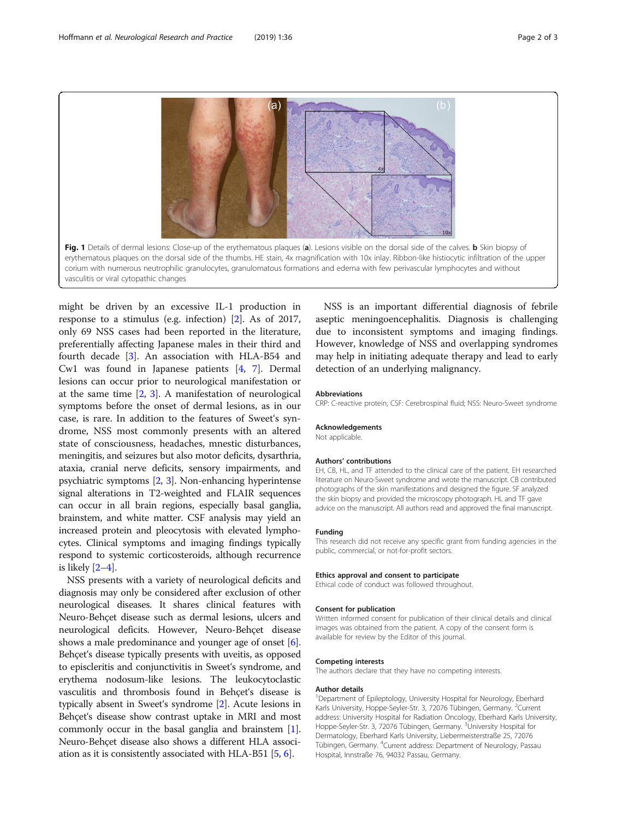<span id="page-1-0"></span>(่ล` Fig. 1 Details of dermal lesions: Close-up of the erythematous plaques (a). Lesions visible on the dorsal side of the calves. b Skin biopsy of erythematous plaques on the dorsal side of the thumbs. HE stain, 4x magnification with 10x inlay. Ribbon-like histiocytic infiltration of the upper corium with numerous neutrophilic granulocytes, granulomatous formations and edema with few perivascular lymphocytes and without vasculitis or viral cytopathic changes

might be driven by an excessive IL-1 production in response to a stimulus (e.g. infection) [\[2](#page-2-0)]. As of 2017, only 69 NSS cases had been reported in the literature, preferentially affecting Japanese males in their third and fourth decade [\[3](#page-2-0)]. An association with HLA-B54 and Cw1 was found in Japanese patients [\[4](#page-2-0), [7\]](#page-2-0). Dermal lesions can occur prior to neurological manifestation or at the same time  $[2, 3]$  $[2, 3]$  $[2, 3]$ . A manifestation of neurological symptoms before the onset of dermal lesions, as in our case, is rare. In addition to the features of Sweet's syndrome, NSS most commonly presents with an altered state of consciousness, headaches, mnestic disturbances, meningitis, and seizures but also motor deficits, dysarthria, ataxia, cranial nerve deficits, sensory impairments, and psychiatric symptoms [\[2](#page-2-0), [3](#page-2-0)]. Non-enhancing hyperintense signal alterations in T2-weighted and FLAIR sequences can occur in all brain regions, especially basal ganglia, brainstem, and white matter. CSF analysis may yield an increased protein and pleocytosis with elevated lymphocytes. Clinical symptoms and imaging findings typically respond to systemic corticosteroids, although recurrence is likely  $[2-4]$  $[2-4]$  $[2-4]$ .

NSS presents with a variety of neurological deficits and diagnosis may only be considered after exclusion of other neurological diseases. It shares clinical features with Neuro-Behçet disease such as dermal lesions, ulcers and neurological deficits. However, Neuro-Behçet disease shows a male predominance and younger age of onset [[6](#page-2-0)]. Behçet's disease typically presents with uveitis, as opposed to episcleritis and conjunctivitis in Sweet's syndrome, and erythema nodosum-like lesions. The leukocytoclastic vasculitis and thrombosis found in Behçet's disease is typically absent in Sweet's syndrome [[2](#page-2-0)]. Acute lesions in Behçet's disease show contrast uptake in MRI and most commonly occur in the basal ganglia and brainstem [[1](#page-2-0)]. Neuro-Behçet disease also shows a different HLA association as it is consistently associated with HLA-B51 [\[5](#page-2-0), [6\]](#page-2-0).

NSS is an important differential diagnosis of febrile aseptic meningoencephalitis. Diagnosis is challenging due to inconsistent symptoms and imaging findings. However, knowledge of NSS and overlapping syndromes may help in initiating adequate therapy and lead to early detection of an underlying malignancy.

#### Abbreviations

CRP: C-reactive protein; CSF: Cerebrospinal fluid; NSS: Neuro-Sweet syndrome

## Acknowledgements

Not applicable.

## Authors' contributions

EH, CB, HL, and TF attended to the clinical care of the patient. EH researched literature on Neuro-Sweet syndrome and wrote the manuscript. CB contributed photographs of the skin manifestations and designed the figure. SF analyzed the skin biopsy and provided the microscopy photograph. HL and TF gave advice on the manuscript. All authors read and approved the final manuscript.

#### Funding

This research did not receive any specific grant from funding agencies in the public, commercial, or not-for-profit sectors.

#### Ethics approval and consent to participate

Ethical code of conduct was followed throughout.

## Consent for publication

Written informed consent for publication of their clinical details and clinical images was obtained from the patient. A copy of the consent form is available for review by the Editor of this journal.

#### Competing interests

The authors declare that they have no competing interests.

#### Author details

<sup>1</sup>Department of Epileptology, University Hospital for Neurology, Eberhard Karls University, Hoppe-Seyler-Str. 3, 72076 Tübingen, Germany. <sup>2</sup>Current address: University Hospital for Radiation Oncology, Eberhard Karls University, Hoppe-Seyler-Str. 3, 72076 Tübingen, Germany. <sup>3</sup>University Hospital for Dermatology, Eberhard Karls University, Liebermeisterstraße 25, 72076 Tübingen, Germany. <sup>4</sup> Current address: Department of Neurology, Passau Hospital, Innstraße 76, 94032 Passau, Germany.